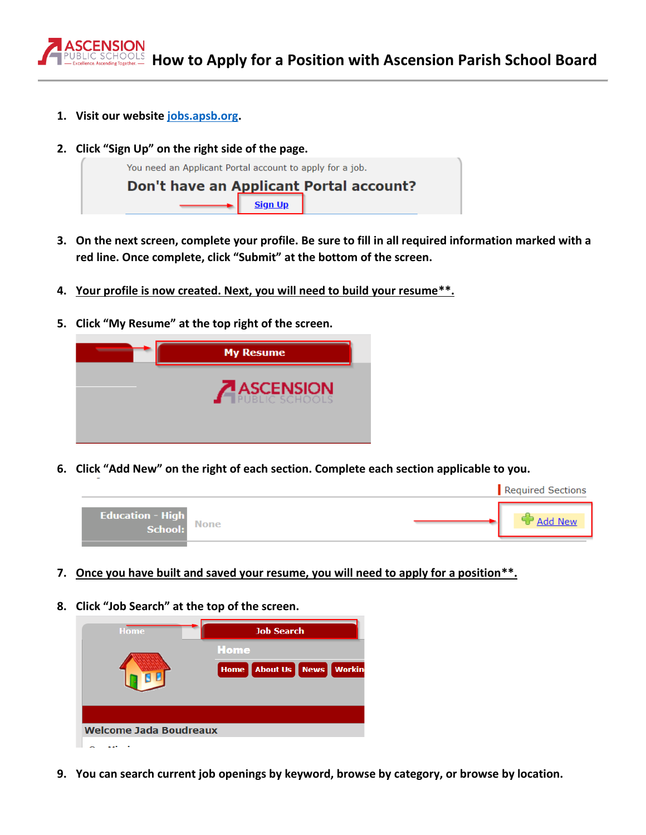

- **1. Visit our website [jobs.apsb.org.](https://jobs.apsb.org/ap/applicant/)**
- **2. Click "Sign Up" on the right side of the page.**



- **3. On the next screen, complete your profile. Be sure to fill in all required information marked with a red line. Once complete, click "Submit" at the bottom of the screen.**
- **4. Your profile is now created. Next, you will need to build your resume\*\*.**
- **5. Click "My Resume" at the top right of the screen.**



**6. Click "Add New" on the right of each section. Complete each section applicable to you.** 



- **7. Once you have built and saved your resume, you will need to apply for a position\*\*.**
- **8. Click "Job Search" at the top of the screen.**



**9. You can search current job openings by keyword, browse by category, or browse by location.**